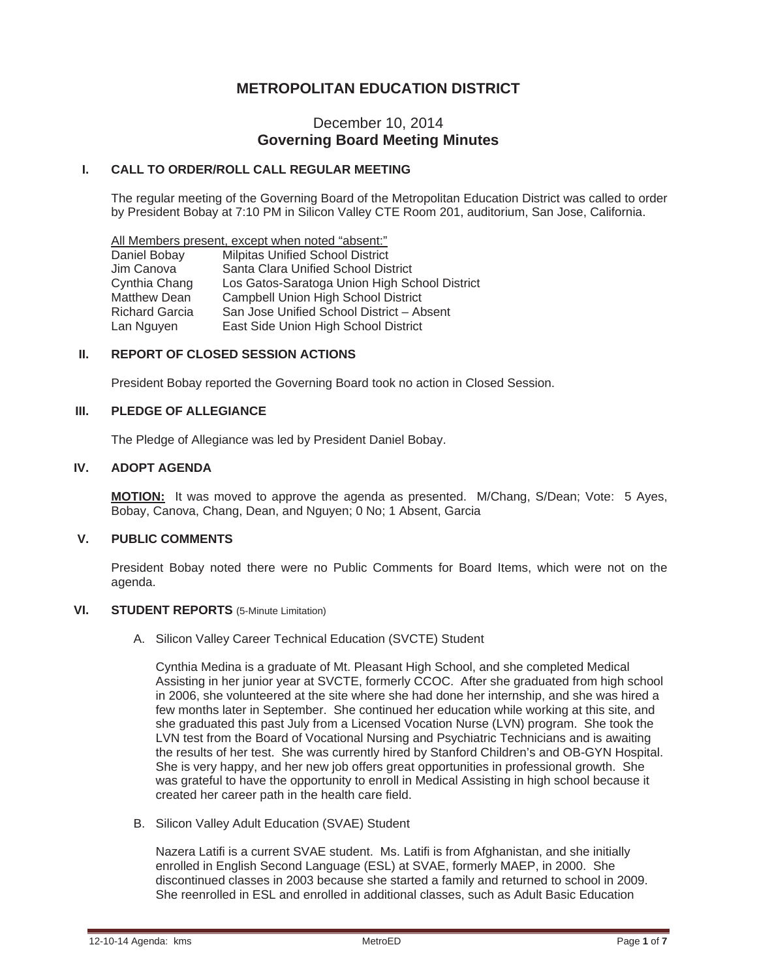# **METROPOLITAN EDUCATION DISTRICT**

# December 10, 2014 **Governing Board Meeting Minutes**

## **I. CALL TO ORDER/ROLL CALL REGULAR MEETING**

The regular meeting of the Governing Board of the Metropolitan Education District was called to order by President Bobay at 7:10 PM in Silicon Valley CTE Room 201, auditorium, San Jose, California.

All Members present, except when noted "absent:" Daniel Bobay Milpitas Unified School District Jim Canova Santa Clara Unified School District Cynthia Chang Los Gatos-Saratoga Union High School District Matthew Dean Campbell Union High School District<br>Richard Garcia San Jose Unified School District - Ab San Jose Unified School District – Absent Lan Nguyen East Side Union High School District

## **II. REPORT OF CLOSED SESSION ACTIONS**

President Bobay reported the Governing Board took no action in Closed Session.

# **III. PLEDGE OF ALLEGIANCE**

The Pledge of Allegiance was led by President Daniel Bobay.

## **IV. ADOPT AGENDA**

**MOTION:** It was moved to approve the agenda as presented. M/Chang, S/Dean; Vote: 5 Ayes, Bobay, Canova, Chang, Dean, and Nguyen; 0 No; 1 Absent, Garcia

## **V. PUBLIC COMMENTS**

President Bobay noted there were no Public Comments for Board Items, which were not on the agenda.

#### **VI. STUDENT REPORTS** (5-Minute Limitation)

A. Silicon Valley Career Technical Education (SVCTE) Student

Cynthia Medina is a graduate of Mt. Pleasant High School, and she completed Medical Assisting in her junior year at SVCTE, formerly CCOC. After she graduated from high school in 2006, she volunteered at the site where she had done her internship, and she was hired a few months later in September. She continued her education while working at this site, and she graduated this past July from a Licensed Vocation Nurse (LVN) program. She took the LVN test from the Board of Vocational Nursing and Psychiatric Technicians and is awaiting the results of her test. She was currently hired by Stanford Children's and OB-GYN Hospital. She is very happy, and her new job offers great opportunities in professional growth. She was grateful to have the opportunity to enroll in Medical Assisting in high school because it created her career path in the health care field.

B. Silicon Valley Adult Education (SVAE) Student

Nazera Latifi is a current SVAE student. Ms. Latifi is from Afghanistan, and she initially enrolled in English Second Language (ESL) at SVAE, formerly MAEP, in 2000. She discontinued classes in 2003 because she started a family and returned to school in 2009. She reenrolled in ESL and enrolled in additional classes, such as Adult Basic Education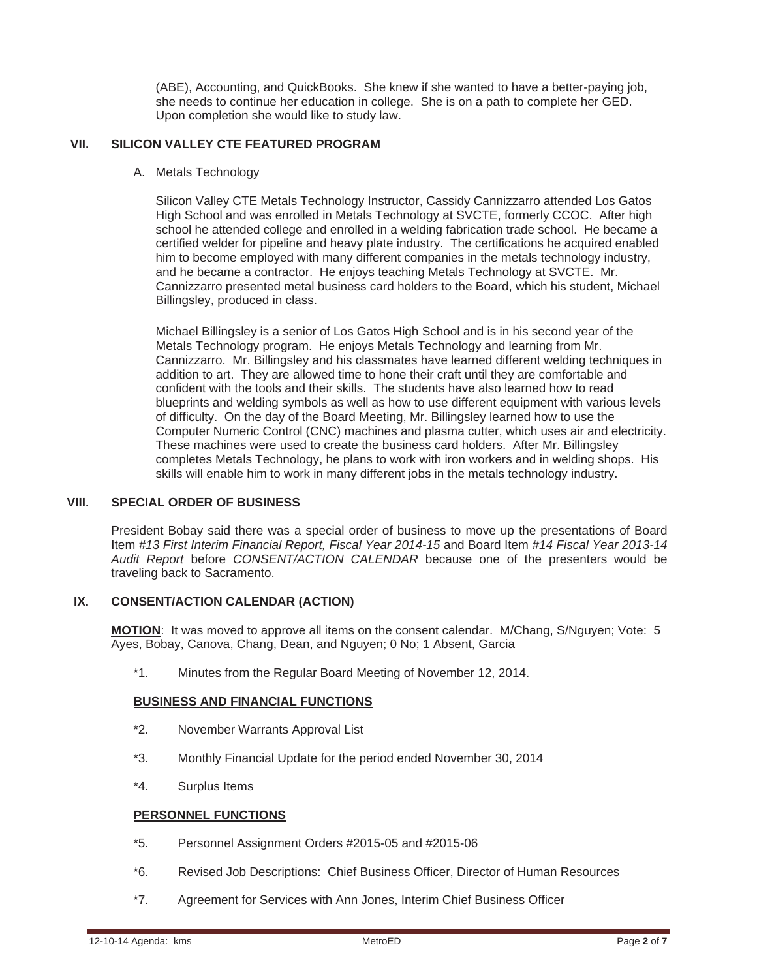(ABE), Accounting, and QuickBooks. She knew if she wanted to have a better-paying job, she needs to continue her education in college. She is on a path to complete her GED. Upon completion she would like to study law.

## **VII. SILICON VALLEY CTE FEATURED PROGRAM**

A. Metals Technology

Silicon Valley CTE Metals Technology Instructor, Cassidy Cannizzarro attended Los Gatos High School and was enrolled in Metals Technology at SVCTE, formerly CCOC. After high school he attended college and enrolled in a welding fabrication trade school. He became a certified welder for pipeline and heavy plate industry. The certifications he acquired enabled him to become employed with many different companies in the metals technology industry, and he became a contractor. He enjoys teaching Metals Technology at SVCTE. Mr. Cannizzarro presented metal business card holders to the Board, which his student, Michael Billingsley, produced in class.

Michael Billingsley is a senior of Los Gatos High School and is in his second year of the Metals Technology program. He enjoys Metals Technology and learning from Mr. Cannizzarro. Mr. Billingsley and his classmates have learned different welding techniques in addition to art. They are allowed time to hone their craft until they are comfortable and confident with the tools and their skills. The students have also learned how to read blueprints and welding symbols as well as how to use different equipment with various levels of difficulty. On the day of the Board Meeting, Mr. Billingsley learned how to use the Computer Numeric Control (CNC) machines and plasma cutter, which uses air and electricity. These machines were used to create the business card holders. After Mr. Billingsley completes Metals Technology, he plans to work with iron workers and in welding shops. His skills will enable him to work in many different jobs in the metals technology industry.

## **VIII. SPECIAL ORDER OF BUSINESS**

President Bobay said there was a special order of business to move up the presentations of Board Item *#13 First Interim Financial Report, Fiscal Year 2014-15* and Board Item *#14 Fiscal Year 2013-14 Audit Report* before *CONSENT/ACTION CALENDAR* because one of the presenters would be traveling back to Sacramento.

# **IX. CONSENT/ACTION CALENDAR (ACTION)**

**MOTION**: It was moved to approve all items on the consent calendar. M/Chang, S/Nguyen; Vote: 5 Ayes, Bobay, Canova, Chang, Dean, and Nguyen; 0 No; 1 Absent, Garcia

\*1. Minutes from the Regular Board Meeting of November 12, 2014.

# **BUSINESS AND FINANCIAL FUNCTIONS**

- \*2. November Warrants Approval List
- \*3. Monthly Financial Update for the period ended November 30, 2014
- \*4. Surplus Items

## **PERSONNEL FUNCTIONS**

- \*5. Personnel Assignment Orders #2015-05 and #2015-06
- \*6. Revised Job Descriptions: Chief Business Officer, Director of Human Resources
- \*7. Agreement for Services with Ann Jones, Interim Chief Business Officer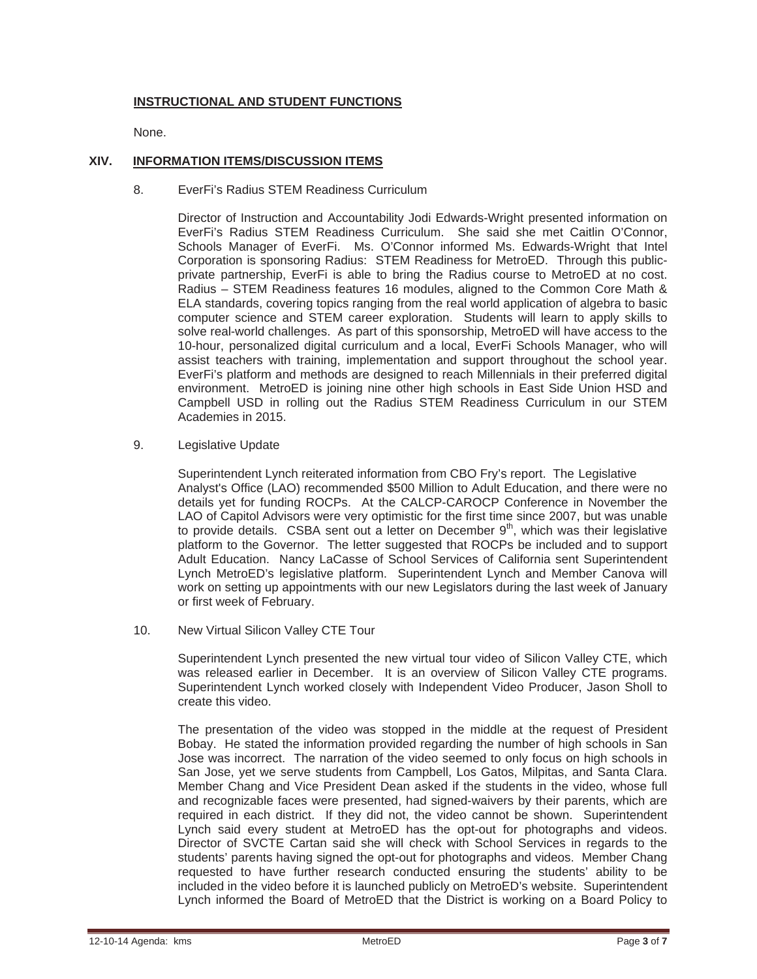# **INSTRUCTIONAL AND STUDENT FUNCTIONS**

None.

## **XIV. INFORMATION ITEMS/DISCUSSION ITEMS**

8. EverFi's Radius STEM Readiness Curriculum

 Director of Instruction and Accountability Jodi Edwards-Wright presented information on EverFi's Radius STEM Readiness Curriculum. She said she met Caitlin O'Connor, Schools Manager of EverFi. Ms. O'Connor informed Ms. Edwards-Wright that Intel Corporation is sponsoring Radius: STEM Readiness for MetroED. Through this publicprivate partnership, EverFi is able to bring the Radius course to MetroED at no cost. Radius – STEM Readiness features 16 modules, aligned to the Common Core Math & ELA standards, covering topics ranging from the real world application of algebra to basic computer science and STEM career exploration. Students will learn to apply skills to solve real-world challenges. As part of this sponsorship, MetroED will have access to the 10-hour, personalized digital curriculum and a local, EverFi Schools Manager, who will assist teachers with training, implementation and support throughout the school year. EverFi's platform and methods are designed to reach Millennials in their preferred digital environment. MetroED is joining nine other high schools in East Side Union HSD and Campbell USD in rolling out the Radius STEM Readiness Curriculum in our STEM Academies in 2015.

9. Legislative Update

 Superintendent Lynch reiterated information from CBO Fry's report. The Legislative Analyst's Office (LAO) recommended \$500 Million to Adult Education, and there were no details yet for funding ROCPs. At the CALCP-CAROCP Conference in November the LAO of Capitol Advisors were very optimistic for the first time since 2007, but was unable to provide details. CSBA sent out a letter on December  $9<sup>th</sup>$ , which was their legislative platform to the Governor. The letter suggested that ROCPs be included and to support Adult Education. Nancy LaCasse of School Services of California sent Superintendent Lynch MetroED's legislative platform. Superintendent Lynch and Member Canova will work on setting up appointments with our new Legislators during the last week of January or first week of February.

10. New Virtual Silicon Valley CTE Tour

 Superintendent Lynch presented the new virtual tour video of Silicon Valley CTE, which was released earlier in December. It is an overview of Silicon Valley CTE programs. Superintendent Lynch worked closely with Independent Video Producer, Jason Sholl to create this video.

 The presentation of the video was stopped in the middle at the request of President Bobay. He stated the information provided regarding the number of high schools in San Jose was incorrect. The narration of the video seemed to only focus on high schools in San Jose, yet we serve students from Campbell, Los Gatos, Milpitas, and Santa Clara. Member Chang and Vice President Dean asked if the students in the video, whose full and recognizable faces were presented, had signed-waivers by their parents, which are required in each district. If they did not, the video cannot be shown. Superintendent Lynch said every student at MetroED has the opt-out for photographs and videos. Director of SVCTE Cartan said she will check with School Services in regards to the students' parents having signed the opt-out for photographs and videos. Member Chang requested to have further research conducted ensuring the students' ability to be included in the video before it is launched publicly on MetroED's website. Superintendent Lynch informed the Board of MetroED that the District is working on a Board Policy to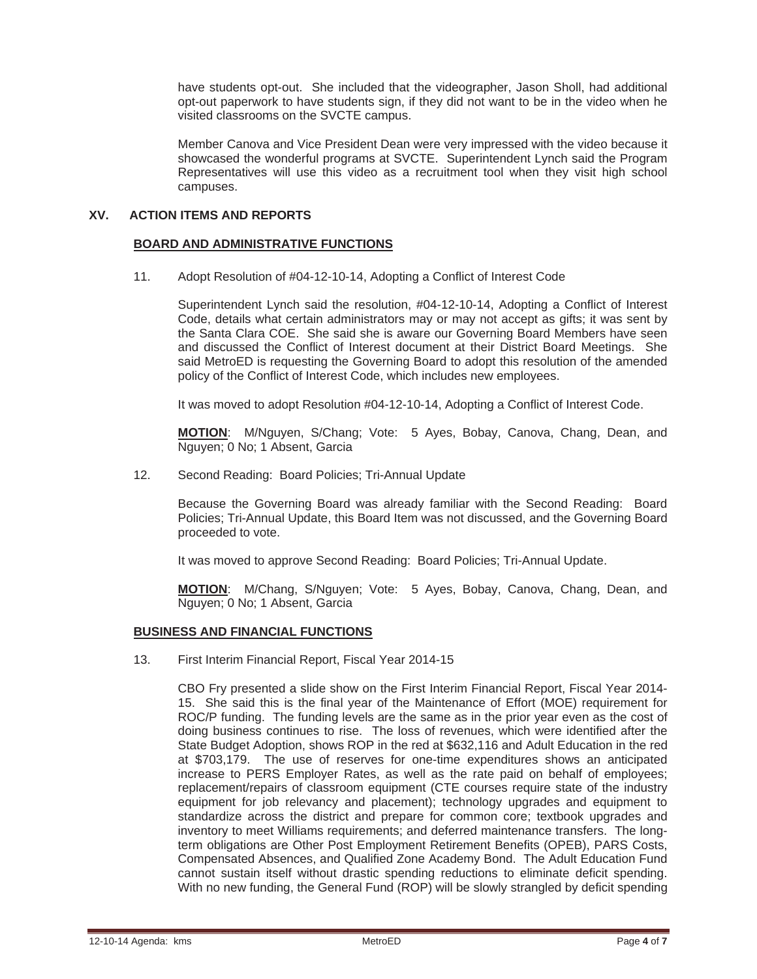have students opt-out. She included that the videographer, Jason Sholl, had additional opt-out paperwork to have students sign, if they did not want to be in the video when he visited classrooms on the SVCTE campus.

 Member Canova and Vice President Dean were very impressed with the video because it showcased the wonderful programs at SVCTE. Superintendent Lynch said the Program Representatives will use this video as a recruitment tool when they visit high school campuses.

## **XV. ACTION ITEMS AND REPORTS**

#### **BOARD AND ADMINISTRATIVE FUNCTIONS**

11. Adopt Resolution of #04-12-10-14, Adopting a Conflict of Interest Code

 Superintendent Lynch said the resolution, #04-12-10-14, Adopting a Conflict of Interest Code, details what certain administrators may or may not accept as gifts; it was sent by the Santa Clara COE. She said she is aware our Governing Board Members have seen and discussed the Conflict of Interest document at their District Board Meetings. She said MetroED is requesting the Governing Board to adopt this resolution of the amended policy of the Conflict of Interest Code, which includes new employees.

It was moved to adopt Resolution #04-12-10-14, Adopting a Conflict of Interest Code.

**MOTION**: M/Nguyen, S/Chang; Vote: 5 Ayes, Bobay, Canova, Chang, Dean, and Nguyen; 0 No; 1 Absent, Garcia

12. Second Reading: Board Policies; Tri-Annual Update

 Because the Governing Board was already familiar with the Second Reading: Board Policies; Tri-Annual Update, this Board Item was not discussed, and the Governing Board proceeded to vote.

It was moved to approve Second Reading: Board Policies; Tri-Annual Update.

**MOTION**: M/Chang, S/Nguyen; Vote: 5 Ayes, Bobay, Canova, Chang, Dean, and Nguyen; 0 No; 1 Absent, Garcia

# **BUSINESS AND FINANCIAL FUNCTIONS**

13. First Interim Financial Report, Fiscal Year 2014-15

 CBO Fry presented a slide show on the First Interim Financial Report, Fiscal Year 2014- 15. She said this is the final year of the Maintenance of Effort (MOE) requirement for ROC/P funding. The funding levels are the same as in the prior year even as the cost of doing business continues to rise. The loss of revenues, which were identified after the State Budget Adoption, shows ROP in the red at \$632,116 and Adult Education in the red at \$703,179. The use of reserves for one-time expenditures shows an anticipated increase to PERS Employer Rates, as well as the rate paid on behalf of employees; replacement/repairs of classroom equipment (CTE courses require state of the industry equipment for job relevancy and placement); technology upgrades and equipment to standardize across the district and prepare for common core; textbook upgrades and inventory to meet Williams requirements; and deferred maintenance transfers. The longterm obligations are Other Post Employment Retirement Benefits (OPEB), PARS Costs, Compensated Absences, and Qualified Zone Academy Bond. The Adult Education Fund cannot sustain itself without drastic spending reductions to eliminate deficit spending. With no new funding, the General Fund (ROP) will be slowly strangled by deficit spending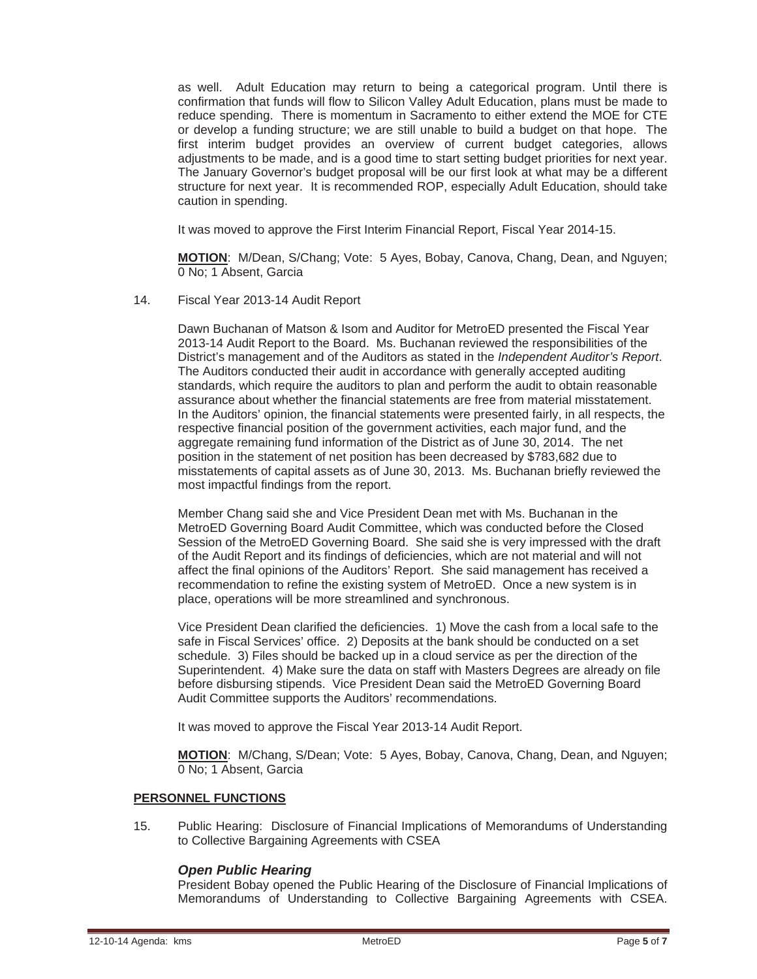as well. Adult Education may return to being a categorical program. Until there is confirmation that funds will flow to Silicon Valley Adult Education, plans must be made to reduce spending. There is momentum in Sacramento to either extend the MOE for CTE or develop a funding structure; we are still unable to build a budget on that hope. The first interim budget provides an overview of current budget categories, allows adjustments to be made, and is a good time to start setting budget priorities for next year. The January Governor's budget proposal will be our first look at what may be a different structure for next year. It is recommended ROP, especially Adult Education, should take caution in spending.

It was moved to approve the First Interim Financial Report, Fiscal Year 2014-15.

**MOTION**: M/Dean, S/Chang; Vote: 5 Ayes, Bobay, Canova, Chang, Dean, and Nguyen; 0 No; 1 Absent, Garcia

14. Fiscal Year 2013-14 Audit Report

 Dawn Buchanan of Matson & Isom and Auditor for MetroED presented the Fiscal Year 2013-14 Audit Report to the Board. Ms. Buchanan reviewed the responsibilities of the District's management and of the Auditors as stated in the *Independent Auditor's Report*. The Auditors conducted their audit in accordance with generally accepted auditing standards, which require the auditors to plan and perform the audit to obtain reasonable assurance about whether the financial statements are free from material misstatement. In the Auditors' opinion, the financial statements were presented fairly, in all respects, the respective financial position of the government activities, each major fund, and the aggregate remaining fund information of the District as of June 30, 2014. The net position in the statement of net position has been decreased by \$783,682 due to misstatements of capital assets as of June 30, 2013. Ms. Buchanan briefly reviewed the most impactful findings from the report.

 Member Chang said she and Vice President Dean met with Ms. Buchanan in the MetroED Governing Board Audit Committee, which was conducted before the Closed Session of the MetroED Governing Board. She said she is very impressed with the draft of the Audit Report and its findings of deficiencies, which are not material and will not affect the final opinions of the Auditors' Report. She said management has received a recommendation to refine the existing system of MetroED. Once a new system is in place, operations will be more streamlined and synchronous.

 Vice President Dean clarified the deficiencies. 1) Move the cash from a local safe to the safe in Fiscal Services' office. 2) Deposits at the bank should be conducted on a set schedule. 3) Files should be backed up in a cloud service as per the direction of the Superintendent. 4) Make sure the data on staff with Masters Degrees are already on file before disbursing stipends. Vice President Dean said the MetroED Governing Board Audit Committee supports the Auditors' recommendations.

It was moved to approve the Fiscal Year 2013-14 Audit Report.

**MOTION**: M/Chang, S/Dean; Vote: 5 Ayes, Bobay, Canova, Chang, Dean, and Nguyen; 0 No; 1 Absent, Garcia

### **PERSONNEL FUNCTIONS**

 15. Public Hearing: Disclosure of Financial Implications of Memorandums of Understanding to Collective Bargaining Agreements with CSEA

### *Open Public Hearing*

President Bobay opened the Public Hearing of the Disclosure of Financial Implications of Memorandums of Understanding to Collective Bargaining Agreements with CSEA.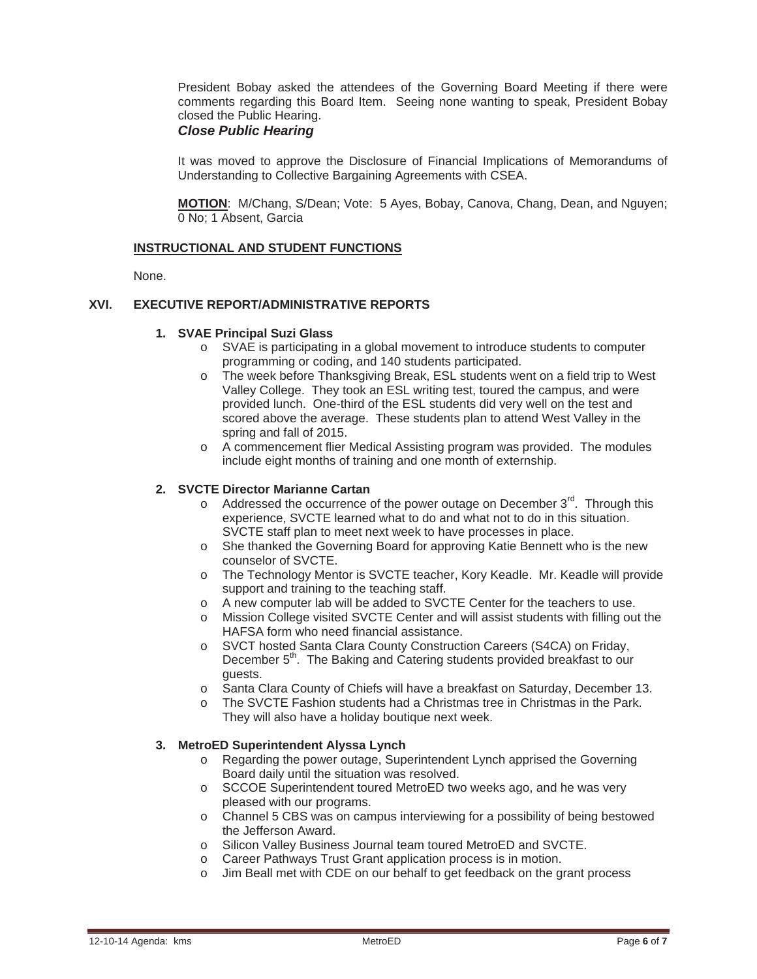President Bobay asked the attendees of the Governing Board Meeting if there were comments regarding this Board Item. Seeing none wanting to speak, President Bobay closed the Public Hearing.

## *Close Public Hearing*

It was moved to approve the Disclosure of Financial Implications of Memorandums of Understanding to Collective Bargaining Agreements with CSEA.

**MOTION**: M/Chang, S/Dean; Vote: 5 Ayes, Bobay, Canova, Chang, Dean, and Nguyen; 0 No; 1 Absent, Garcia

### **INSTRUCTIONAL AND STUDENT FUNCTIONS**

None.

### **XVI. EXECUTIVE REPORT/ADMINISTRATIVE REPORTS**

#### **1. SVAE Principal Suzi Glass**

- o SVAE is participating in a global movement to introduce students to computer programming or coding, and 140 students participated.
- o The week before Thanksgiving Break, ESL students went on a field trip to West Valley College. They took an ESL writing test, toured the campus, and were provided lunch. One-third of the ESL students did very well on the test and scored above the average. These students plan to attend West Valley in the spring and fall of 2015.
- o A commencement flier Medical Assisting program was provided. The modules include eight months of training and one month of externship.

#### **2. SVCTE Director Marianne Cartan**

- $\circ$  Addressed the occurrence of the power outage on December 3<sup>rd</sup>. Through this experience, SVCTE learned what to do and what not to do in this situation. SVCTE staff plan to meet next week to have processes in place.
- o She thanked the Governing Board for approving Katie Bennett who is the new counselor of SVCTE.
- o The Technology Mentor is SVCTE teacher, Kory Keadle. Mr. Keadle will provide support and training to the teaching staff.
- o A new computer lab will be added to SVCTE Center for the teachers to use.
- o Mission College visited SVCTE Center and will assist students with filling out the HAFSA form who need financial assistance.
- o SVCT hosted Santa Clara County Construction Careers (S4CA) on Friday, December 5<sup>th</sup>. The Baking and Catering students provided breakfast to our guests.
- o Santa Clara County of Chiefs will have a breakfast on Saturday, December 13.
- o The SVCTE Fashion students had a Christmas tree in Christmas in the Park. They will also have a holiday boutique next week.

#### **3. MetroED Superintendent Alyssa Lynch**

- o Regarding the power outage, Superintendent Lynch apprised the Governing Board daily until the situation was resolved.
- o SCCOE Superintendent toured MetroED two weeks ago, and he was very pleased with our programs.
- o Channel 5 CBS was on campus interviewing for a possibility of being bestowed the Jefferson Award.
- o Silicon Valley Business Journal team toured MetroED and SVCTE.
- o Career Pathways Trust Grant application process is in motion.
- o Jim Beall met with CDE on our behalf to get feedback on the grant process